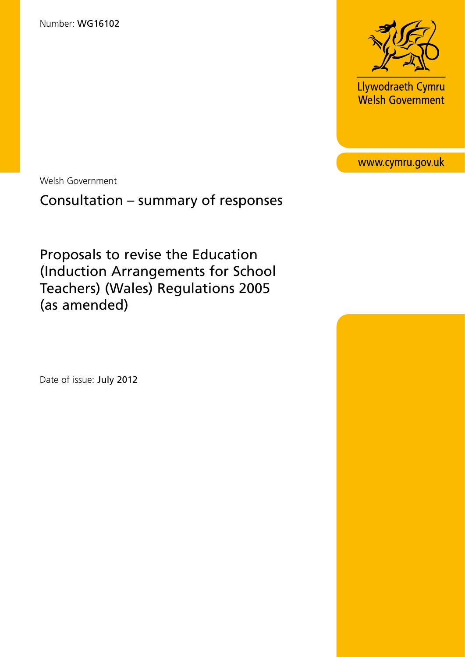

Llywodraeth Cymru Welsh Government

www.cymru.gov.uk

Welsh Government

# Consultation – summary of responses

Proposals to revise the Education (Induction Arrangements for School Teachers) (Wales) Regulations 2005 (as amended)

Date of issue: July 2012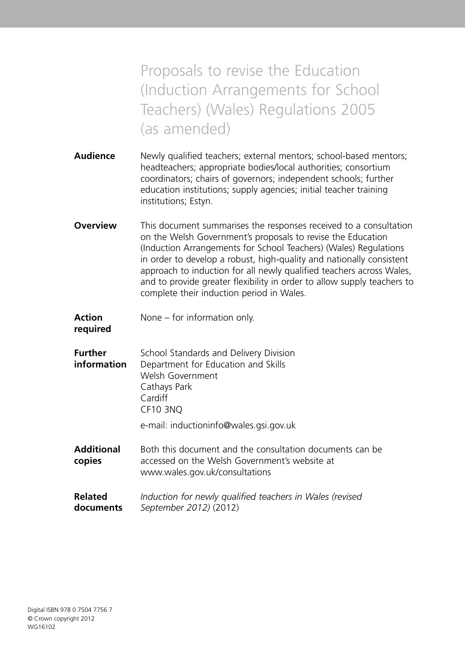Proposals to revise the Education (Induction Arrangements for School Teachers) (Wales) Regulations 2005 (as amended)

- **Audience** Newly qualified teachers; external mentors; school-based mentors; headteachers; appropriate bodies/local authorities; consortium coordinators; chairs of governors; independent schools; further education institutions; supply agencies; initial teacher training institutions; Estyn.
- **Overview** This document summarises the responses received to a consultation on the Welsh Government's proposals to revise the Education (Induction Arrangements for School Teachers) (Wales) Regulations in order to develop a robust, high-quality and nationally consistent approach to induction for all newly qualified teachers across Wales, and to provide greater flexibility in order to allow supply teachers to complete their induction period in Wales.
- **Action** None for information only.
- **required**
- **Further** School Standards and Delivery Division **information** Department for Education and Skills Welsh Government Cathays Park Cardiff CF10 3NQ
	- e-mail: inductioninfo@wales.gsi.gov.uk
- **Additional** Both this document and the consultation documents can be **copies** accessed on the Welsh Government's website at www.wales.gov.uk/consultations
- **Related** *Induction for newly qualified teachers in Wales (revised* **documents** *September 2012)* (2012)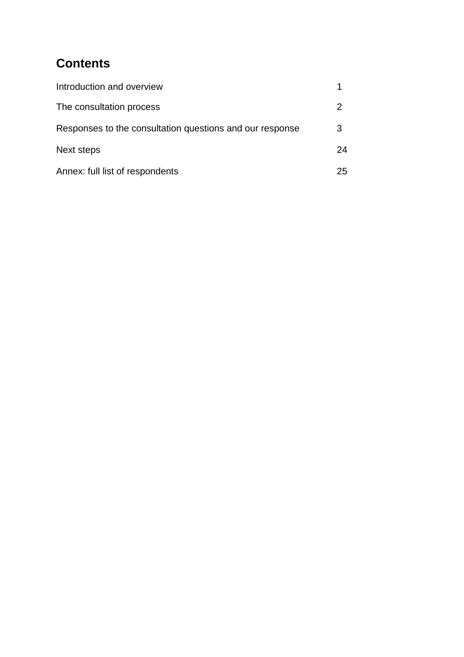# **Contents**

| Introduction and overview                                |    |
|----------------------------------------------------------|----|
| The consultation process                                 |    |
| Responses to the consultation questions and our response | 3  |
| Next steps                                               | 24 |
| Annex: full list of respondents                          | 25 |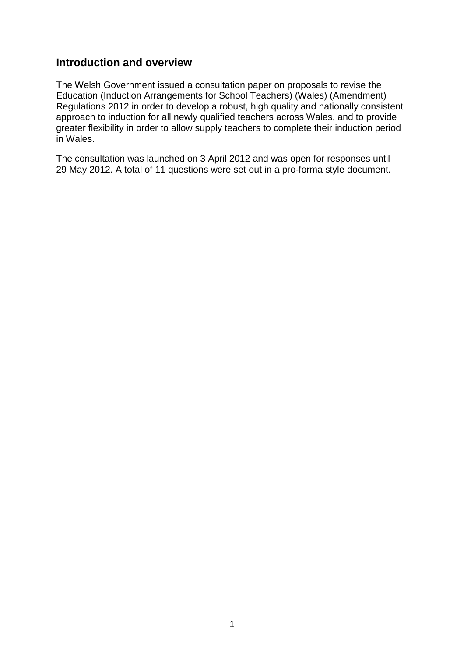## **Introduction and overview**

The Welsh Government issued a consultation paper on proposals to revise the Education (Induction Arrangements for School Teachers) (Wales) (Amendment) Regulations 2012 in order to develop a robust, high quality and nationally consistent approach to induction for all newly qualified teachers across Wales, and to provide greater flexibility in order to allow supply teachers to complete their induction period in Wales.

The consultation was launched on 3 April 2012 and was open for responses until 29 May 2012. A total of 11 questions were set out in a pro-forma style document.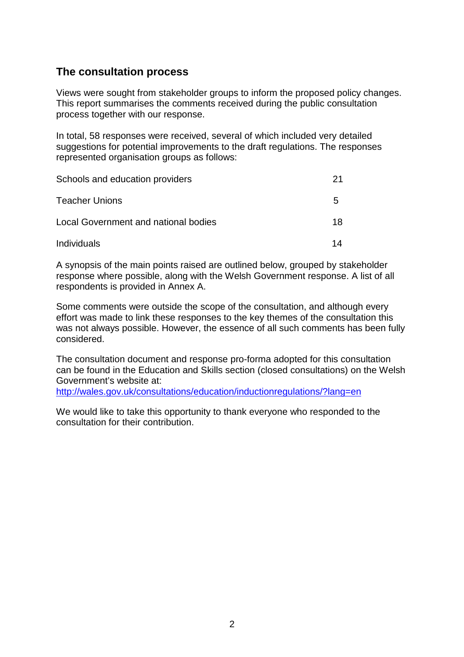## **The consultation process**

Views were sought from stakeholder groups to inform the proposed policy changes. This report summarises the comments received during the public consultation process together with our response.

In total, 58 responses were received, several of which included very detailed suggestions for potential improvements to the draft regulations. The responses represented organisation groups as follows:

| Schools and education providers      | 21 |
|--------------------------------------|----|
| <b>Teacher Unions</b>                | 5  |
| Local Government and national bodies | 18 |
| Individuals                          | 14 |

A synopsis of the main points raised are outlined below, grouped by stakeholder response where possible, along with the Welsh Government response. A list of all respondents is provided in Annex A.

Some comments were outside the scope of the consultation, and although every effort was made to link these responses to the key themes of the consultation this was not always possible. However, the essence of all such comments has been fully considered.

The consultation document and response pro-forma adopted for this consultation can be found in the Education and Skills section (closed consultations) on the Welsh Government's website at:

<http://wales.gov.uk/consultations/education/inductionregulations/?lang=en>

We would like to take this opportunity to thank everyone who responded to the consultation for their contribution.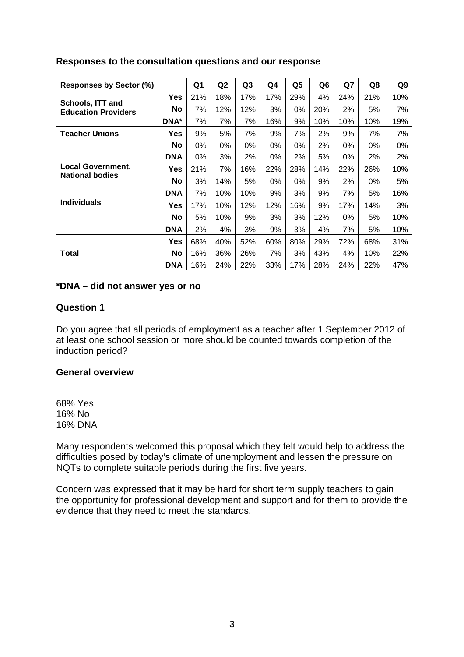## **Responses to the consultation questions and our response**

| Responses by Sector (%)                        |              | Q1  | Q <sub>2</sub> | Q3  | Q4  | Q5  | Q6  | Q7  | Q8    | Q9  |
|------------------------------------------------|--------------|-----|----------------|-----|-----|-----|-----|-----|-------|-----|
| Schools, ITT and<br><b>Education Providers</b> | Yes          | 21% | 18%            | 17% | 17% | 29% | 4%  | 24% | 21%   | 10% |
|                                                | <b>No</b>    | 7%  | 12%            | 12% | 3%  | 0%  | 20% | 2%  | 5%    | 7%  |
|                                                | <b>DNA</b> * | 7%  | 7%             | 7%  | 16% | 9%  | 10% | 10% | 10%   | 19% |
| <b>Teacher Unions</b>                          | Yes          | 9%  | 5%             | 7%  | 9%  | 7%  | 2%  | 9%  | 7%    | 7%  |
|                                                | <b>No</b>    | 0%  | 0%             | 0%  | 0%  | 0%  | 2%  | 0%  | $0\%$ | 0%  |
|                                                | <b>DNA</b>   | 0%  | 3%             | 2%  | 0%  | 2%  | 5%  | 0%  | 2%    | 2%  |
| <b>Local Government,</b>                       | Yes          | 21% | 7%             | 16% | 22% | 28% | 14% | 22% | 26%   | 10% |
| <b>National bodies</b>                         | <b>No</b>    | 3%  | 14%            | 5%  | 0%  | 0%  | 9%  | 2%  | 0%    | 5%  |
|                                                | <b>DNA</b>   | 7%  | 10%            | 10% | 9%  | 3%  | 9%  | 7%  | 5%    | 16% |
| <b>Individuals</b>                             | Yes          | 17% | 10%            | 12% | 12% | 16% | 9%  | 17% | 14%   | 3%  |
|                                                | <b>No</b>    | 5%  | 10%            | 9%  | 3%  | 3%  | 12% | 0%  | 5%    | 10% |
|                                                | <b>DNA</b>   | 2%  | 4%             | 3%  | 9%  | 3%  | 4%  | 7%  | 5%    | 10% |
|                                                | Yes          | 68% | 40%            | 52% | 60% | 80% | 29% | 72% | 68%   | 31% |
| Total                                          | No           | 16% | 36%            | 26% | 7%  | 3%  | 43% | 4%  | 10%   | 22% |
|                                                | <b>DNA</b>   | 16% | 24%            | 22% | 33% | 17% | 28% | 24% | 22%   | 47% |

## **\*DNA – did not answer yes or no**

## **Question 1**

Do you agree that all periods of employment as a teacher after 1 September 2012 of at least one school session or more should be counted towards completion of the induction period?

## **General overview**

68% Yes 16% No 16% DNA

Many respondents welcomed this proposal which they felt would help to address the difficulties posed by today's climate of unemployment and lessen the pressure on NQTs to complete suitable periods during the first five years.

Concern was expressed that it may be hard for short term supply teachers to gain the opportunity for professional development and support and for them to provide the evidence that they need to meet the standards.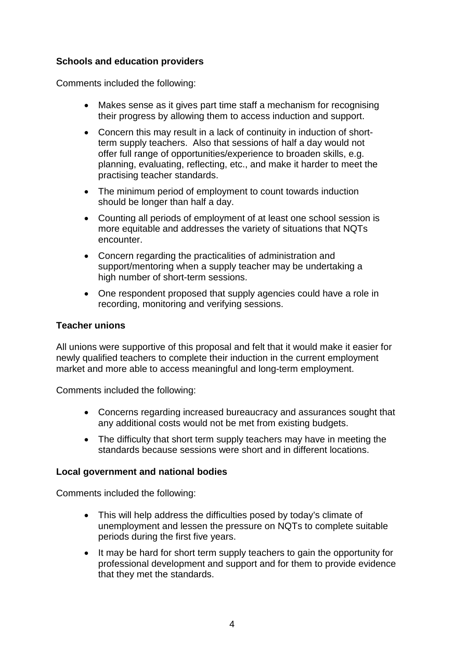## **Schools and education providers**

Comments included the following:

- Makes sense as it gives part time staff a mechanism for recognising their progress by allowing them to access induction and support.
- Concern this may result in a lack of continuity in induction of shortterm supply teachers. Also that sessions of half a day would not offer full range of opportunities/experience to broaden skills, e.g. planning, evaluating, reflecting, etc., and make it harder to meet the practising teacher standards.
- The minimum period of employment to count towards induction should be longer than half a day.
- Counting all periods of employment of at least one school session is more equitable and addresses the variety of situations that NQTs encounter.
- Concern regarding the practicalities of administration and support/mentoring when a supply teacher may be undertaking a high number of short-term sessions.
- One respondent proposed that supply agencies could have a role in recording, monitoring and verifying sessions.

## **Teacher unions**

All unions were supportive of this proposal and felt that it would make it easier for newly qualified teachers to complete their induction in the current employment market and more able to access meaningful and long-term employment.

Comments included the following:

- Concerns regarding increased bureaucracy and assurances sought that any additional costs would not be met from existing budgets.
- The difficulty that short term supply teachers may have in meeting the standards because sessions were short and in different locations.

## **Local government and national bodies**

- This will help address the difficulties posed by today's climate of unemployment and lessen the pressure on NQTs to complete suitable periods during the first five years.
- It may be hard for short term supply teachers to gain the opportunity for professional development and support and for them to provide evidence that they met the standards.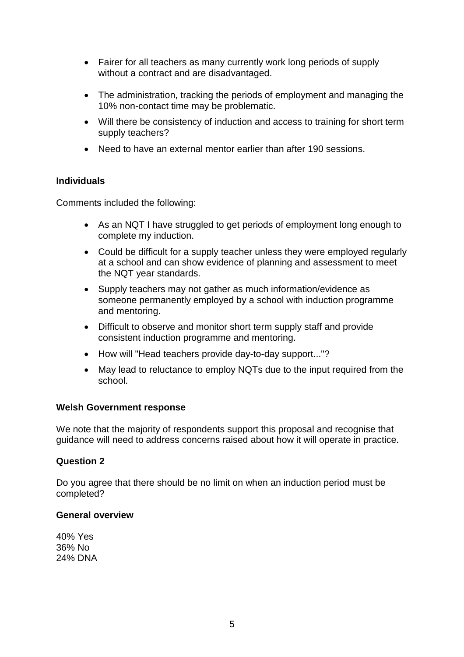- Fairer for all teachers as many currently work long periods of supply without a contract and are disadvantaged.
- The administration, tracking the periods of employment and managing the 10% non-contact time may be problematic.
- Will there be consistency of induction and access to training for short term supply teachers?
- Need to have an external mentor earlier than after 190 sessions.

Comments included the following:

- As an NQT I have struggled to get periods of employment long enough to complete my induction.
- Could be difficult for a supply teacher unless they were employed regularly at a school and can show evidence of planning and assessment to meet the NQT year standards.
- Supply teachers may not gather as much information/evidence as someone permanently employed by a school with induction programme and mentoring.
- Difficult to observe and monitor short term supply staff and provide consistent induction programme and mentoring.
- How will "Head teachers provide day-to-day support..."?
- May lead to reluctance to employ NQTs due to the input required from the school.

## **Welsh Government response**

We note that the majority of respondents support this proposal and recognise that guidance will need to address concerns raised about how it will operate in practice.

## **Question 2**

Do you agree that there should be no limit on when an induction period must be completed?

#### **General overview**

40% Yes 36% No 24% DNA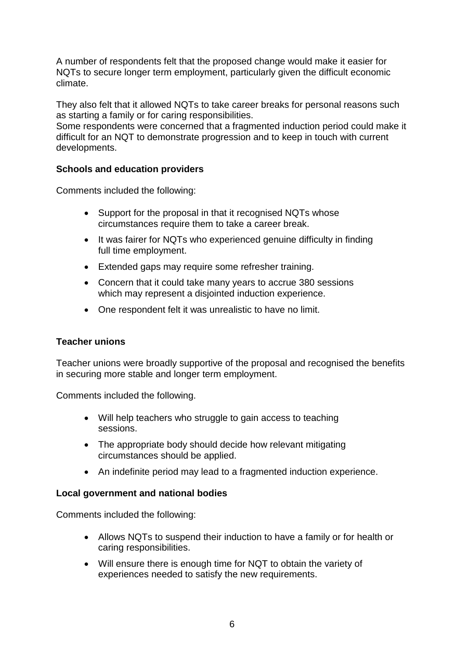A number of respondents felt that the proposed change would make it easier for NQTs to secure longer term employment, particularly given the difficult economic climate.

They also felt that it allowed NQTs to take career breaks for personal reasons such as starting a family or for caring responsibilities.

Some respondents were concerned that a fragmented induction period could make it difficult for an NQT to demonstrate progression and to keep in touch with current developments.

## **Schools and education providers**

Comments included the following:

- Support for the proposal in that it recognised NQTs whose circumstances require them to take a career break.
- It was fairer for NQTs who experienced genuine difficulty in finding full time employment.
- Extended gaps may require some refresher training.
- Concern that it could take many years to accrue 380 sessions which may represent a disjointed induction experience.
- One respondent felt it was unrealistic to have no limit.

## **Teacher unions**

Teacher unions were broadly supportive of the proposal and recognised the benefits in securing more stable and longer term employment.

Comments included the following.

- Will help teachers who struggle to gain access to teaching sessions.
- The appropriate body should decide how relevant mitigating circumstances should be applied.
- An indefinite period may lead to a fragmented induction experience.

## **Local government and national bodies**

- Allows NQTs to suspend their induction to have a family or for health or caring responsibilities.
- Will ensure there is enough time for NQT to obtain the variety of experiences needed to satisfy the new requirements.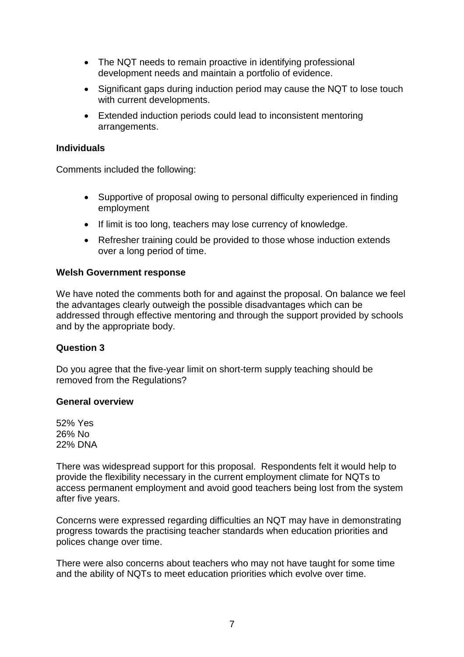- The NQT needs to remain proactive in identifying professional development needs and maintain a portfolio of evidence.
- Significant gaps during induction period may cause the NQT to lose touch with current developments.
- Extended induction periods could lead to inconsistent mentoring arrangements.

Comments included the following:

- Supportive of proposal owing to personal difficulty experienced in finding employment
- If limit is too long, teachers may lose currency of knowledge.
- Refresher training could be provided to those whose induction extends over a long period of time.

## **Welsh Government response**

We have noted the comments both for and against the proposal. On balance we feel the advantages clearly outweigh the possible disadvantages which can be addressed through effective mentoring and through the support provided by schools and by the appropriate body.

## **Question 3**

Do you agree that the five-year limit on short-term supply teaching should be removed from the Regulations?

## **General overview**

52% Yes 26% No 22% DNA

There was widespread support for this proposal. Respondents felt it would help to provide the flexibility necessary in the current employment climate for NQTs to access permanent employment and avoid good teachers being lost from the system after five years.

Concerns were expressed regarding difficulties an NQT may have in demonstrating progress towards the practising teacher standards when education priorities and polices change over time.

There were also concerns about teachers who may not have taught for some time and the ability of NQTs to meet education priorities which evolve over time.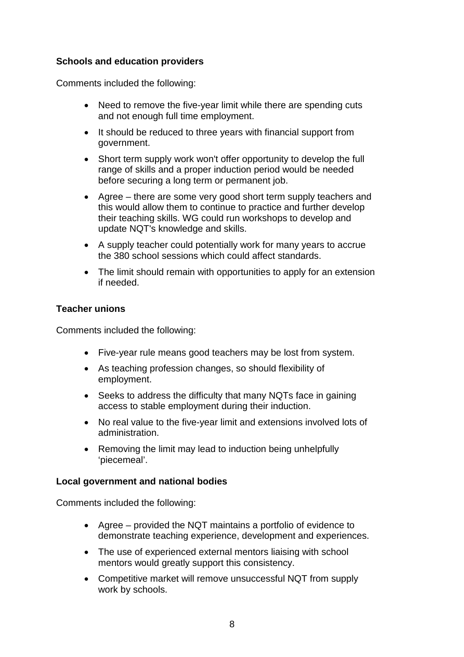## **Schools and education providers**

Comments included the following:

- Need to remove the five-year limit while there are spending cuts and not enough full time employment.
- It should be reduced to three years with financial support from government.
- Short term supply work won't offer opportunity to develop the full range of skills and a proper induction period would be needed before securing a long term or permanent job.
- Agree there are some very good short term supply teachers and this would allow them to continue to practice and further develop their teaching skills. WG could run workshops to develop and update NQT's knowledge and skills.
- A supply teacher could potentially work for many years to accrue the 380 school sessions which could affect standards.
- The limit should remain with opportunities to apply for an extension if needed.

## **Teacher unions**

Comments included the following:

- Five-year rule means good teachers may be lost from system.
- As teaching profession changes, so should flexibility of employment.
- Seeks to address the difficulty that many NQTs face in gaining access to stable employment during their induction.
- No real value to the five-year limit and extensions involved lots of administration.
- Removing the limit may lead to induction being unhelpfully 'piecemeal'.

## **Local government and national bodies**

- Agree provided the NQT maintains a portfolio of evidence to demonstrate teaching experience, development and experiences.
- The use of experienced external mentors liaising with school mentors would greatly support this consistency.
- Competitive market will remove unsuccessful NQT from supply work by schools.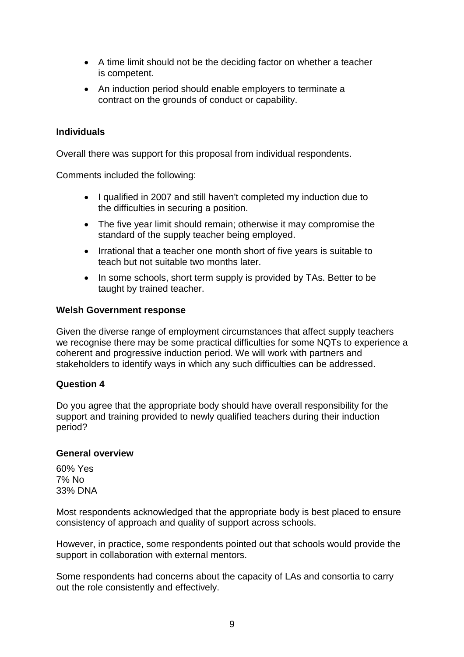- A time limit should not be the deciding factor on whether a teacher is competent.
- An induction period should enable employers to terminate a contract on the grounds of conduct or capability.

Overall there was support for this proposal from individual respondents.

Comments included the following:

- I qualified in 2007 and still haven't completed my induction due to the difficulties in securing a position.
- The five year limit should remain; otherwise it may compromise the standard of the supply teacher being employed.
- Irrational that a teacher one month short of five years is suitable to teach but not suitable two months later.
- In some schools, short term supply is provided by TAs. Better to be taught by trained teacher.

#### **Welsh Government response**

Given the diverse range of employment circumstances that affect supply teachers we recognise there may be some practical difficulties for some NQTs to experience a coherent and progressive induction period. We will work with partners and stakeholders to identify ways in which any such difficulties can be addressed.

## **Question 4**

Do you agree that the appropriate body should have overall responsibility for the support and training provided to newly qualified teachers during their induction period?

#### **General overview**

60% Yes 7% No 33% DNA

Most respondents acknowledged that the appropriate body is best placed to ensure consistency of approach and quality of support across schools.

However, in practice, some respondents pointed out that schools would provide the support in collaboration with external mentors.

Some respondents had concerns about the capacity of LAs and consortia to carry out the role consistently and effectively.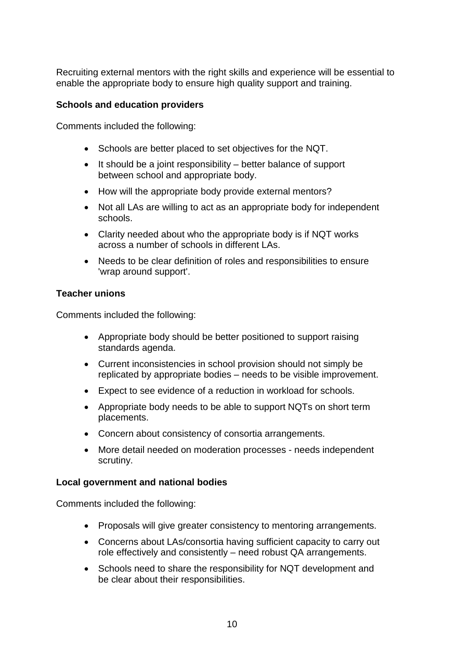Recruiting external mentors with the right skills and experience will be essential to enable the appropriate body to ensure high quality support and training.

## **Schools and education providers**

Comments included the following:

- Schools are better placed to set objectives for the NQT.
- It should be a joint responsibility better balance of support between school and appropriate body.
- How will the appropriate body provide external mentors?
- Not all LAs are willing to act as an appropriate body for independent schools.
- Clarity needed about who the appropriate body is if NQT works across a number of schools in different LAs.
- Needs to be clear definition of roles and responsibilities to ensure 'wrap around support'.

## **Teacher unions**

Comments included the following:

- Appropriate body should be better positioned to support raising standards agenda.
- Current inconsistencies in school provision should not simply be replicated by appropriate bodies – needs to be visible improvement.
- Expect to see evidence of a reduction in workload for schools.
- Appropriate body needs to be able to support NQTs on short term placements.
- Concern about consistency of consortia arrangements.
- More detail needed on moderation processes needs independent scrutiny.

## **Local government and national bodies**

- Proposals will give greater consistency to mentoring arrangements.
- Concerns about LAs/consortia having sufficient capacity to carry out role effectively and consistently – need robust QA arrangements.
- Schools need to share the responsibility for NQT development and be clear about their responsibilities.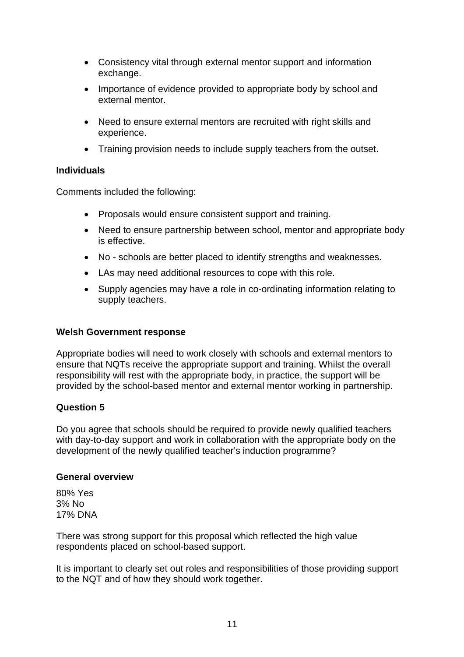- Consistency vital through external mentor support and information exchange.
- Importance of evidence provided to appropriate body by school and external mentor.
- Need to ensure external mentors are recruited with right skills and experience.
- Training provision needs to include supply teachers from the outset.

Comments included the following:

- Proposals would ensure consistent support and training.
- Need to ensure partnership between school, mentor and appropriate body is effective.
- No schools are better placed to identify strengths and weaknesses.
- LAs may need additional resources to cope with this role.
- Supply agencies may have a role in co-ordinating information relating to supply teachers.

## **Welsh Government response**

Appropriate bodies will need to work closely with schools and external mentors to ensure that NQTs receive the appropriate support and training. Whilst the overall responsibility will rest with the appropriate body, in practice, the support will be provided by the school-based mentor and external mentor working in partnership.

## **Question 5**

Do you agree that schools should be required to provide newly qualified teachers with day-to-day support and work in collaboration with the appropriate body on the development of the newly qualified teacher's induction programme?

## **General overview**

80% Yes 3% No 17% DNA

There was strong support for this proposal which reflected the high value respondents placed on school-based support.

It is important to clearly set out roles and responsibilities of those providing support to the NQT and of how they should work together.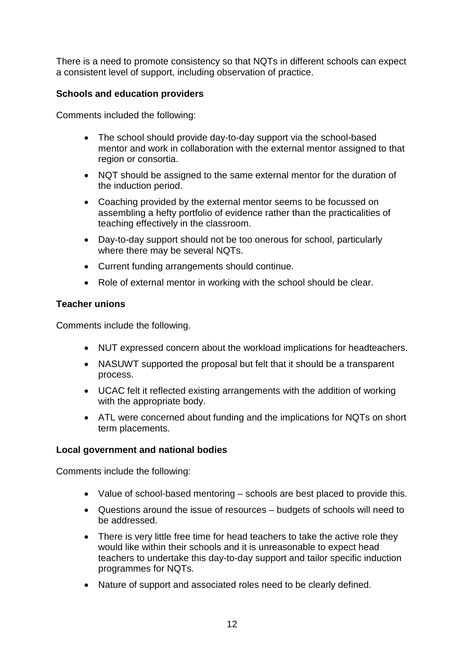There is a need to promote consistency so that NQTs in different schools can expect a consistent level of support, including observation of practice.

## **Schools and education providers**

Comments included the following:

- The school should provide day-to-day support via the school-based mentor and work in collaboration with the external mentor assigned to that region or consortia.
- NQT should be assigned to the same external mentor for the duration of the induction period.
- Coaching provided by the external mentor seems to be focussed on assembling a hefty portfolio of evidence rather than the practicalities of teaching effectively in the classroom.
- Day-to-day support should not be too onerous for school, particularly where there may be several NQTs.
- Current funding arrangements should continue.
- Role of external mentor in working with the school should be clear.

## **Teacher unions**

Comments include the following.

- NUT expressed concern about the workload implications for headteachers.
- NASUWT supported the proposal but felt that it should be a transparent process.
- UCAC felt it reflected existing arrangements with the addition of working with the appropriate body.
- ATL were concerned about funding and the implications for NQTs on short term placements.

## **Local government and national bodies**

- Value of school-based mentoring schools are best placed to provide this.
- Questions around the issue of resources budgets of schools will need to be addressed.
- There is very little free time for head teachers to take the active role they would like within their schools and it is unreasonable to expect head teachers to undertake this day-to-day support and tailor specific induction programmes for NQTs.
- Nature of support and associated roles need to be clearly defined.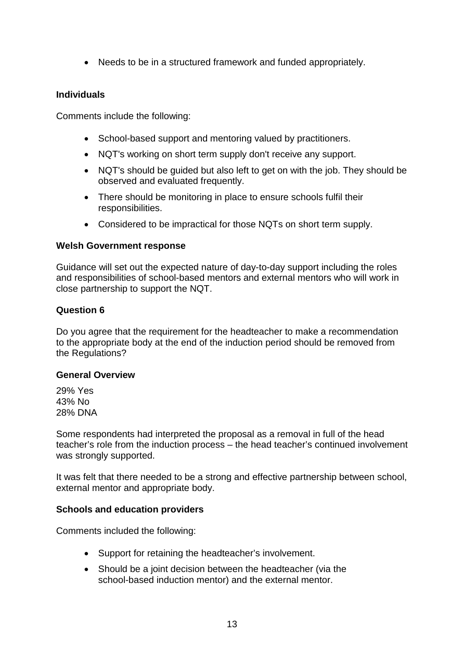• Needs to be in a structured framework and funded appropriately.

## **Individuals**

Comments include the following:

- School-based support and mentoring valued by practitioners.
- NQT's working on short term supply don't receive any support.
- NQT's should be guided but also left to get on with the job. They should be observed and evaluated frequently.
- There should be monitoring in place to ensure schools fulfil their responsibilities.
- Considered to be impractical for those NQTs on short term supply.

## **Welsh Government response**

Guidance will set out the expected nature of day-to-day support including the roles and responsibilities of school-based mentors and external mentors who will work in close partnership to support the NQT.

## **Question 6**

Do you agree that the requirement for the headteacher to make a recommendation to the appropriate body at the end of the induction period should be removed from the Regulations?

## **General Overview**

29% Yes 43% No 28% DNA

Some respondents had interpreted the proposal as a removal in full of the head teacher's role from the induction process – the head teacher's continued involvement was strongly supported.

It was felt that there needed to be a strong and effective partnership between school, external mentor and appropriate body.

## **Schools and education providers**

- Support for retaining the headteacher's involvement.
- Should be a joint decision between the headteacher (via the school-based induction mentor) and the external mentor.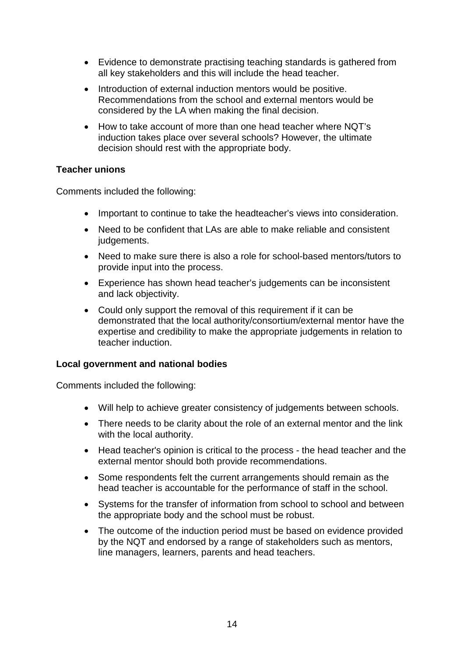- Evidence to demonstrate practising teaching standards is gathered from all key stakeholders and this will include the head teacher.
- Introduction of external induction mentors would be positive. Recommendations from the school and external mentors would be considered by the LA when making the final decision.
- How to take account of more than one head teacher where NQT's induction takes place over several schools? However, the ultimate decision should rest with the appropriate body.

## **Teacher unions**

Comments included the following:

- Important to continue to take the headteacher's views into consideration.
- Need to be confident that LAs are able to make reliable and consistent judgements.
- Need to make sure there is also a role for school-based mentors/tutors to provide input into the process.
- Experience has shown head teacher's judgements can be inconsistent and lack objectivity.
- Could only support the removal of this requirement if it can be demonstrated that the local authority/consortium/external mentor have the expertise and credibility to make the appropriate judgements in relation to teacher induction.

## **Local government and national bodies**

- Will help to achieve greater consistency of judgements between schools.
- There needs to be clarity about the role of an external mentor and the link with the local authority.
- Head teacher's opinion is critical to the process the head teacher and the external mentor should both provide recommendations.
- Some respondents felt the current arrangements should remain as the head teacher is accountable for the performance of staff in the school.
- Systems for the transfer of information from school to school and between the appropriate body and the school must be robust.
- The outcome of the induction period must be based on evidence provided by the NQT and endorsed by a range of stakeholders such as mentors, line managers, learners, parents and head teachers.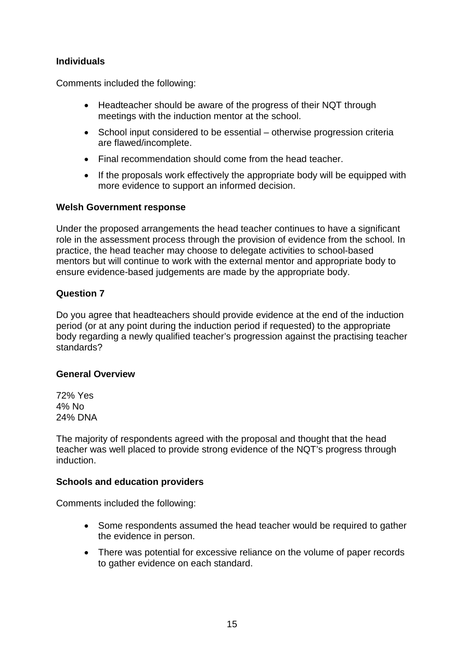Comments included the following:

- Headteacher should be aware of the progress of their NQT through meetings with the induction mentor at the school.
- School input considered to be essential otherwise progression criteria are flawed/incomplete.
- Final recommendation should come from the head teacher.
- If the proposals work effectively the appropriate body will be equipped with more evidence to support an informed decision.

## **Welsh Government response**

Under the proposed arrangements the head teacher continues to have a significant role in the assessment process through the provision of evidence from the school. In practice, the head teacher may choose to delegate activities to school-based mentors but will continue to work with the external mentor and appropriate body to ensure evidence-based judgements are made by the appropriate body.

## **Question 7**

Do you agree that headteachers should provide evidence at the end of the induction period (or at any point during the induction period if requested) to the appropriate body regarding a newly qualified teacher's progression against the practising teacher standards?

## **General Overview**

72% Yes 4% No 24% DNA

The majority of respondents agreed with the proposal and thought that the head teacher was well placed to provide strong evidence of the NQT's progress through induction.

#### **Schools and education providers**

- Some respondents assumed the head teacher would be required to gather the evidence in person.
- There was potential for excessive reliance on the volume of paper records to gather evidence on each standard.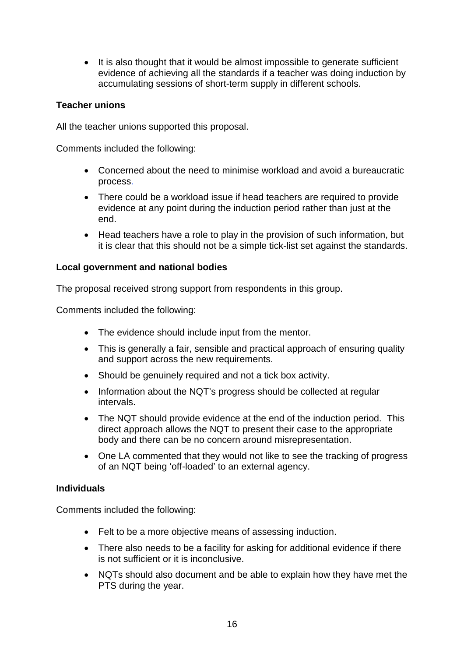• It is also thought that it would be almost impossible to generate sufficient evidence of achieving all the standards if a teacher was doing induction by accumulating sessions of short-term supply in different schools.

## **Teacher unions**

All the teacher unions supported this proposal.

Comments included the following:

- Concerned about the need to minimise workload and avoid a bureaucratic process.
- There could be a workload issue if head teachers are required to provide evidence at any point during the induction period rather than just at the end.
- Head teachers have a role to play in the provision of such information, but it is clear that this should not be a simple tick-list set against the standards.

## **Local government and national bodies**

The proposal received strong support from respondents in this group.

Comments included the following:

- The evidence should include input from the mentor.
- This is generally a fair, sensible and practical approach of ensuring quality and support across the new requirements.
- Should be genuinely required and not a tick box activity.
- Information about the NQT's progress should be collected at regular intervals.
- The NQT should provide evidence at the end of the induction period. This direct approach allows the NQT to present their case to the appropriate body and there can be no concern around misrepresentation.
- One LA commented that they would not like to see the tracking of progress of an NQT being 'off-loaded' to an external agency.

## **Individuals**

- Felt to be a more objective means of assessing induction.
- There also needs to be a facility for asking for additional evidence if there is not sufficient or it is inconclusive.
- NQTs should also document and be able to explain how they have met the PTS during the year.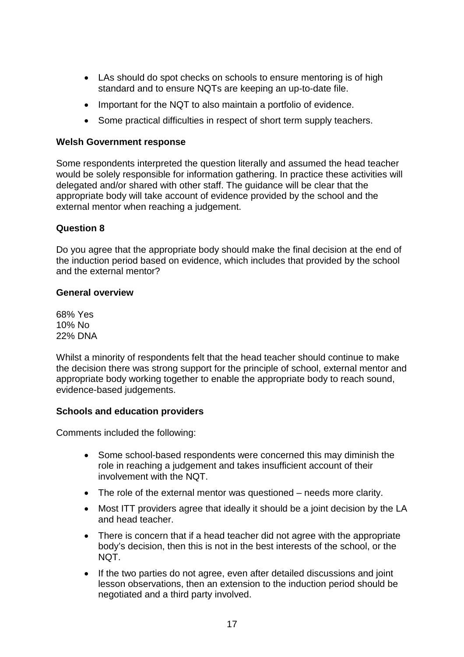- LAs should do spot checks on schools to ensure mentoring is of high standard and to ensure NQTs are keeping an up-to-date file.
- Important for the NQT to also maintain a portfolio of evidence.
- Some practical difficulties in respect of short term supply teachers.

#### **Welsh Government response**

Some respondents interpreted the question literally and assumed the head teacher would be solely responsible for information gathering. In practice these activities will delegated and/or shared with other staff. The guidance will be clear that the appropriate body will take account of evidence provided by the school and the external mentor when reaching a judgement.

## **Question 8**

Do you agree that the appropriate body should make the final decision at the end of the induction period based on evidence, which includes that provided by the school and the external mentor?

#### **General overview**

68% Yes 10% No 22% DNA

Whilst a minority of respondents felt that the head teacher should continue to make the decision there was strong support for the principle of school, external mentor and appropriate body working together to enable the appropriate body to reach sound, evidence-based judgements.

#### **Schools and education providers**

- Some school-based respondents were concerned this may diminish the role in reaching a judgement and takes insufficient account of their involvement with the NQT.
- The role of the external mentor was questioned needs more clarity.
- Most ITT providers agree that ideally it should be a joint decision by the LA and head teacher.
- There is concern that if a head teacher did not agree with the appropriate body's decision, then this is not in the best interests of the school, or the NQT.
- If the two parties do not agree, even after detailed discussions and joint lesson observations, then an extension to the induction period should be negotiated and a third party involved.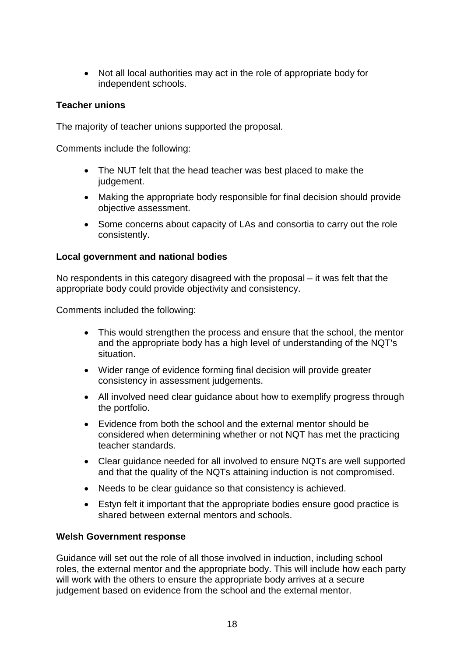• Not all local authorities may act in the role of appropriate body for independent schools.

## **Teacher unions**

The majority of teacher unions supported the proposal.

Comments include the following:

- The NUT felt that the head teacher was best placed to make the judgement.
- Making the appropriate body responsible for final decision should provide objective assessment.
- Some concerns about capacity of LAs and consortia to carry out the role consistently.

## **Local government and national bodies**

No respondents in this category disagreed with the proposal – it was felt that the appropriate body could provide objectivity and consistency.

Comments included the following:

- This would strengthen the process and ensure that the school, the mentor and the appropriate body has a high level of understanding of the NQT's situation.
- Wider range of evidence forming final decision will provide greater consistency in assessment judgements.
- All involved need clear quidance about how to exemplify progress through the portfolio.
- Evidence from both the school and the external mentor should be considered when determining whether or not NQT has met the practicing teacher standards.
- Clear guidance needed for all involved to ensure NQTs are well supported and that the quality of the NQTs attaining induction is not compromised.
- Needs to be clear guidance so that consistency is achieved.
- Estyn felt it important that the appropriate bodies ensure good practice is shared between external mentors and schools.

## **Welsh Government response**

Guidance will set out the role of all those involved in induction, including school roles, the external mentor and the appropriate body. This will include how each party will work with the others to ensure the appropriate body arrives at a secure judgement based on evidence from the school and the external mentor.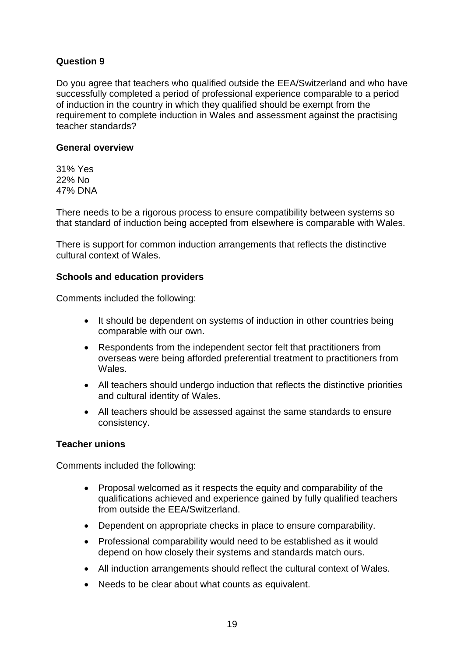## **Question 9**

Do you agree that teachers who qualified outside the EEA/Switzerland and who have successfully completed a period of professional experience comparable to a period of induction in the country in which they qualified should be exempt from the requirement to complete induction in Wales and assessment against the practising teacher standards?

#### **General overview**

31% Yes 22% No 47% DNA

There needs to be a rigorous process to ensure compatibility between systems so that standard of induction being accepted from elsewhere is comparable with Wales.

There is support for common induction arrangements that reflects the distinctive cultural context of Wales.

## **Schools and education providers**

Comments included the following:

- It should be dependent on systems of induction in other countries being comparable with our own.
- Respondents from the independent sector felt that practitioners from overseas were being afforded preferential treatment to practitioners from Wales.
- All teachers should undergo induction that reflects the distinctive priorities and cultural identity of Wales.
- All teachers should be assessed against the same standards to ensure consistency.

## **Teacher unions**

- Proposal welcomed as it respects the equity and comparability of the qualifications achieved and experience gained by fully qualified teachers from outside the EEA/Switzerland.
- Dependent on appropriate checks in place to ensure comparability.
- Professional comparability would need to be established as it would depend on how closely their systems and standards match ours.
- All induction arrangements should reflect the cultural context of Wales.
- Needs to be clear about what counts as equivalent.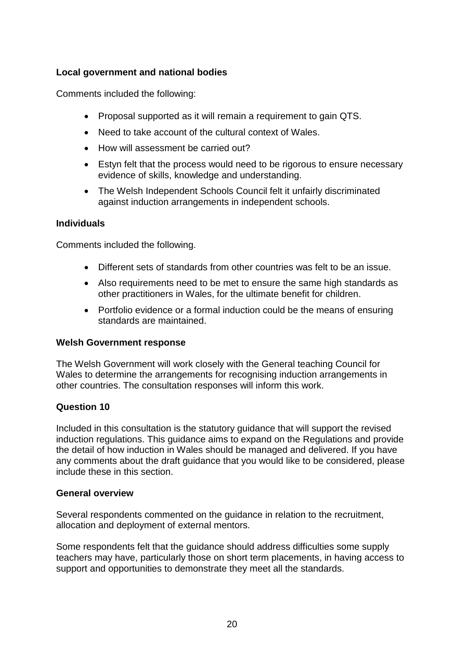## **Local government and national bodies**

Comments included the following:

- Proposal supported as it will remain a requirement to gain QTS.
- Need to take account of the cultural context of Wales.
- How will assessment be carried out?
- Estyn felt that the process would need to be rigorous to ensure necessary evidence of skills, knowledge and understanding.
- The Welsh Independent Schools Council felt it unfairly discriminated against induction arrangements in independent schools.

## **Individuals**

Comments included the following.

- Different sets of standards from other countries was felt to be an issue.
- Also requirements need to be met to ensure the same high standards as other practitioners in Wales, for the ultimate benefit for children.
- Portfolio evidence or a formal induction could be the means of ensuring standards are maintained.

## **Welsh Government response**

The Welsh Government will work closely with the General teaching Council for Wales to determine the arrangements for recognising induction arrangements in other countries. The consultation responses will inform this work.

## **Question 10**

Included in this consultation is the statutory guidance that will support the revised induction regulations. This guidance aims to expand on the Regulations and provide the detail of how induction in Wales should be managed and delivered. If you have any comments about the draft guidance that you would like to be considered, please include these in this section.

## **General overview**

Several respondents commented on the guidance in relation to the recruitment, allocation and deployment of external mentors.

Some respondents felt that the guidance should address difficulties some supply teachers may have, particularly those on short term placements, in having access to support and opportunities to demonstrate they meet all the standards.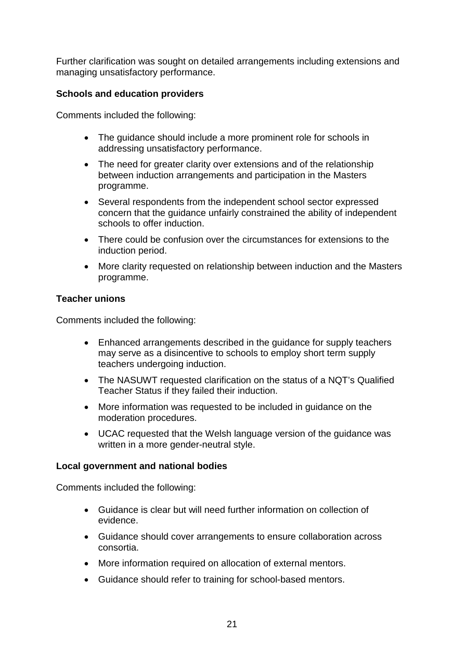Further clarification was sought on detailed arrangements including extensions and managing unsatisfactory performance.

## **Schools and education providers**

Comments included the following:

- The guidance should include a more prominent role for schools in addressing unsatisfactory performance.
- The need for greater clarity over extensions and of the relationship between induction arrangements and participation in the Masters programme.
- Several respondents from the independent school sector expressed concern that the guidance unfairly constrained the ability of independent schools to offer induction.
- There could be confusion over the circumstances for extensions to the induction period.
- More clarity requested on relationship between induction and the Masters programme.

## **Teacher unions**

Comments included the following:

- Enhanced arrangements described in the guidance for supply teachers may serve as a disincentive to schools to employ short term supply teachers undergoing induction.
- The NASUWT requested clarification on the status of a NQT's Qualified Teacher Status if they failed their induction.
- More information was requested to be included in guidance on the moderation procedures.
- UCAC requested that the Welsh language version of the guidance was written in a more gender-neutral style.

## **Local government and national bodies**

- Guidance is clear but will need further information on collection of evidence.
- Guidance should cover arrangements to ensure collaboration across consortia.
- More information required on allocation of external mentors.
- Guidance should refer to training for school-based mentors.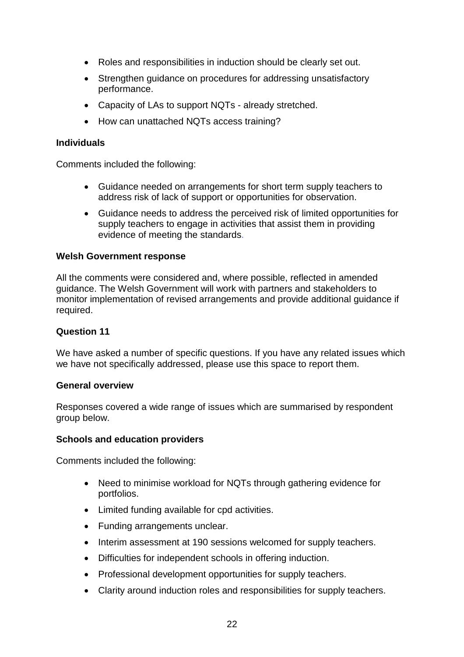- Roles and responsibilities in induction should be clearly set out.
- Strengthen guidance on procedures for addressing unsatisfactory performance.
- Capacity of LAs to support NQTs already stretched.
- How can unattached NQTs access training?

Comments included the following:

- Guidance needed on arrangements for short term supply teachers to address risk of lack of support or opportunities for observation.
- Guidance needs to address the perceived risk of limited opportunities for supply teachers to engage in activities that assist them in providing evidence of meeting the standards.

#### **Welsh Government response**

All the comments were considered and, where possible, reflected in amended guidance. The Welsh Government will work with partners and stakeholders to monitor implementation of revised arrangements and provide additional guidance if required.

#### **Question 11**

We have asked a number of specific questions. If you have any related issues which we have not specifically addressed, please use this space to report them.

#### **General overview**

Responses covered a wide range of issues which are summarised by respondent group below.

#### **Schools and education providers**

- Need to minimise workload for NQTs through gathering evidence for portfolios.
- Limited funding available for cpd activities.
- Funding arrangements unclear.
- Interim assessment at 190 sessions welcomed for supply teachers.
- Difficulties for independent schools in offering induction.
- Professional development opportunities for supply teachers.
- Clarity around induction roles and responsibilities for supply teachers.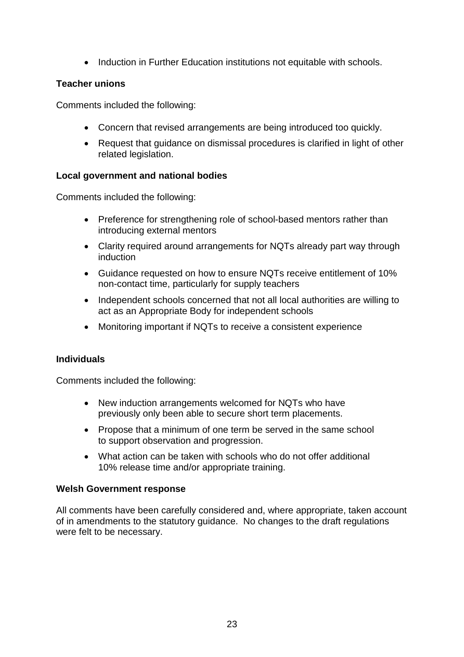• Induction in Further Education institutions not equitable with schools.

## **Teacher unions**

Comments included the following:

- Concern that revised arrangements are being introduced too quickly.
- Request that guidance on dismissal procedures is clarified in light of other related legislation.

## **Local government and national bodies**

Comments included the following:

- Preference for strengthening role of school-based mentors rather than introducing external mentors
- Clarity required around arrangements for NQTs already part way through induction
- Guidance requested on how to ensure NQTs receive entitlement of 10% non-contact time, particularly for supply teachers
- Independent schools concerned that not all local authorities are willing to act as an Appropriate Body for independent schools
- Monitoring important if NQTs to receive a consistent experience

## **Individuals**

Comments included the following:

- New induction arrangements welcomed for NQTs who have previously only been able to secure short term placements.
- Propose that a minimum of one term be served in the same school to support observation and progression.
- What action can be taken with schools who do not offer additional 10% release time and/or appropriate training.

## **Welsh Government response**

All comments have been carefully considered and, where appropriate, taken account of in amendments to the statutory guidance. No changes to the draft regulations were felt to be necessary.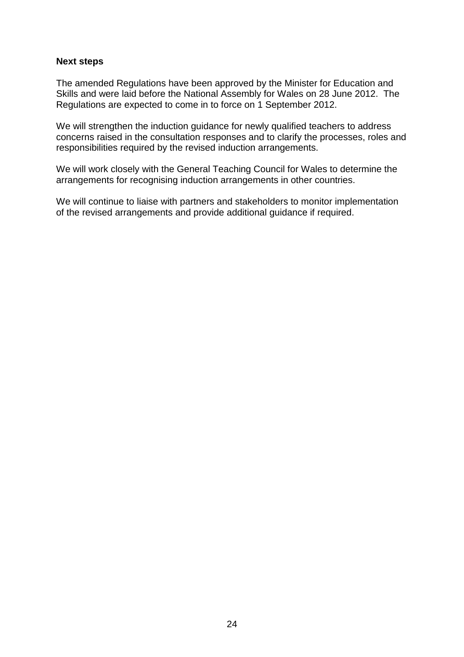#### **Next steps**

The amended Regulations have been approved by the Minister for Education and Skills and were laid before the National Assembly for Wales on 28 June 2012. The Regulations are expected to come in to force on 1 September 2012.

We will strengthen the induction guidance for newly qualified teachers to address concerns raised in the consultation responses and to clarify the processes, roles and responsibilities required by the revised induction arrangements.

We will work closely with the General Teaching Council for Wales to determine the arrangements for recognising induction arrangements in other countries.

We will continue to liaise with partners and stakeholders to monitor implementation of the revised arrangements and provide additional guidance if required.